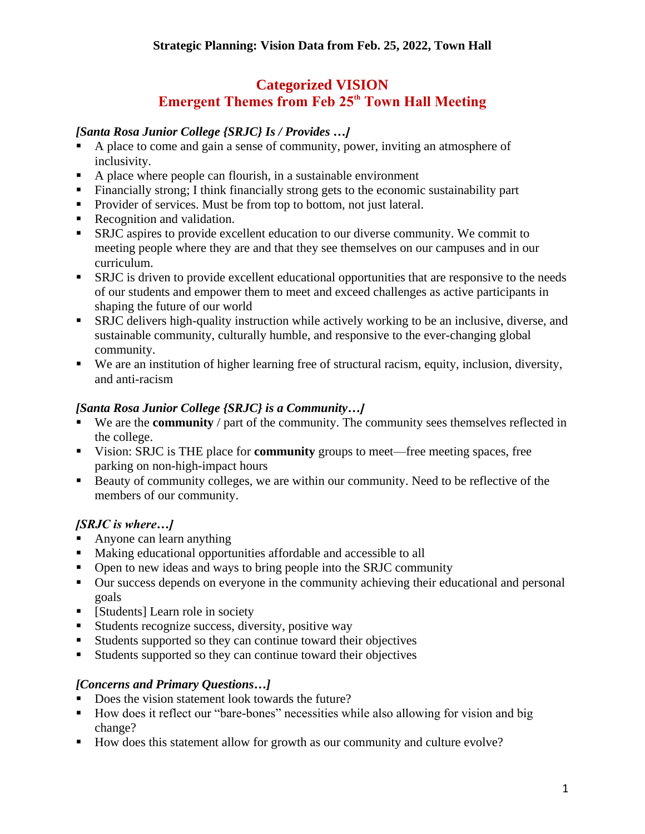# **Categorized VISION Emergent Themes from Feb 25<sup>th</sup> Town Hall Meeting**

### *[Santa Rosa Junior College {SRJC} Is / Provides …]*

- A place to come and gain a sense of community, power, inviting an atmosphere of inclusivity.
- A place where people can flourish, in a sustainable environment
- Financially strong; I think financially strong gets to the economic sustainability part
- Provider of services. Must be from top to bottom, not just lateral.
- Recognition and validation.
- SRJC aspires to provide excellent education to our diverse community. We commit to meeting people where they are and that they see themselves on our campuses and in our curriculum.
- SRJC is driven to provide excellent educational opportunities that are responsive to the needs of our students and empower them to meet and exceed challenges as active participants in shaping the future of our world
- SRJC delivers high-quality instruction while actively working to be an inclusive, diverse, and sustainable community, culturally humble, and responsive to the ever-changing global community.
- We are an institution of higher learning free of structural racism, equity, inclusion, diversity, and anti-racism

### *[Santa Rosa Junior College {SRJC} is a Community…]*

- We are the **community** / part of the community. The community sees themselves reflected in the college.
- Vision: SRJC is THE place for **community** groups to meet—free meeting spaces, free parking on non-high-impact hours
- Beauty of community colleges, we are within our community. Need to be reflective of the members of our community.

## *[SRJC is where…]*

- Anyone can learn anything
- Making educational opportunities affordable and accessible to all
- Open to new ideas and ways to bring people into the SRJC community
- Our success depends on everyone in the community achieving their educational and personal goals
- [Students] Learn role in society
- Students recognize success, diversity, positive way
- Students supported so they can continue toward their objectives
- Students supported so they can continue toward their objectives

### *[Concerns and Primary Questions…]*

- Does the vision statement look towards the future?
- How does it reflect our "bare-bones" necessities while also allowing for vision and big change?
- How does this statement allow for growth as our community and culture evolve?